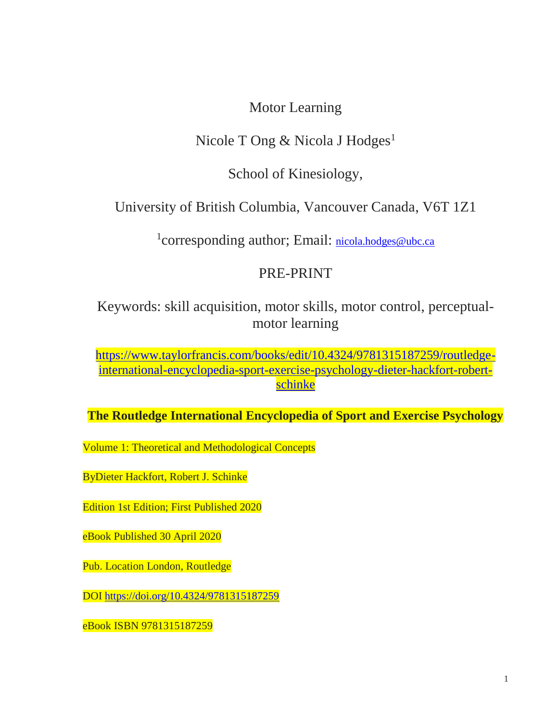# Motor Learning

# Nicole T Ong & Nicola J Hodges<sup>1</sup>

School of Kinesiology,

University of British Columbia, Vancouver Canada, V6T 1Z1

<sup>1</sup>corresponding author; Email: [nicola.hodges@ubc.ca](mailto:nicola.hodges@ubc.ca)

# PRE-PRINT

Keywords: skill acquisition, motor skills, motor control, perceptualmotor learning

[https://www.taylorfrancis.com/books/edit/10.4324/9781315187259/routledge](https://www.taylorfrancis.com/books/edit/10.4324/9781315187259/routledge-international-encyclopedia-sport-exercise-psychology-dieter-hackfort-robert-schinke)[international-encyclopedia-sport-exercise-psychology-dieter-hackfort-robert](https://www.taylorfrancis.com/books/edit/10.4324/9781315187259/routledge-international-encyclopedia-sport-exercise-psychology-dieter-hackfort-robert-schinke)[schinke](https://www.taylorfrancis.com/books/edit/10.4324/9781315187259/routledge-international-encyclopedia-sport-exercise-psychology-dieter-hackfort-robert-schinke)

**The Routledge International Encyclopedia of Sport and Exercise Psychology** 

Volume 1: Theoretical and Methodological Concepts

ByDieter Hackfort, Robert J. Schinke

Edition 1st Edition; First Published 2020

eBook Published 30 April 2020

Pub. Location London, Routledge

DOI <https://doi.org/10.4324/9781315187259>

eBook ISBN 9781315187259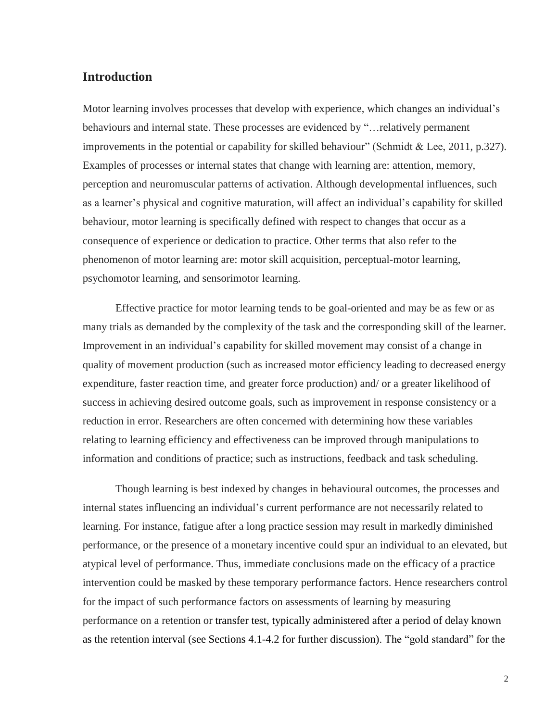# **Introduction**

Motor learning involves processes that develop with experience, which changes an individual's behaviours and internal state. These processes are evidenced by "…relatively permanent improvements in the potential or capability for skilled behaviour" (Schmidt & Lee, 2011, p.327). Examples of processes or internal states that change with learning are: attention, memory, perception and neuromuscular patterns of activation. Although developmental influences, such as a learner's physical and cognitive maturation, will affect an individual's capability for skilled behaviour, motor learning is specifically defined with respect to changes that occur as a consequence of experience or dedication to practice. Other terms that also refer to the phenomenon of motor learning are: motor skill acquisition, perceptual-motor learning, psychomotor learning, and sensorimotor learning.

Effective practice for motor learning tends to be goal-oriented and may be as few or as many trials as demanded by the complexity of the task and the corresponding skill of the learner. Improvement in an individual's capability for skilled movement may consist of a change in quality of movement production (such as increased motor efficiency leading to decreased energy expenditure, faster reaction time, and greater force production) and/ or a greater likelihood of success in achieving desired outcome goals, such as improvement in response consistency or a reduction in error. Researchers are often concerned with determining how these variables relating to learning efficiency and effectiveness can be improved through manipulations to information and conditions of practice; such as instructions, feedback and task scheduling.

Though learning is best indexed by changes in behavioural outcomes, the processes and internal states influencing an individual's current performance are not necessarily related to learning. For instance, fatigue after a long practice session may result in markedly diminished performance, or the presence of a monetary incentive could spur an individual to an elevated, but atypical level of performance. Thus, immediate conclusions made on the efficacy of a practice intervention could be masked by these temporary performance factors. Hence researchers control for the impact of such performance factors on assessments of learning by measuring performance on a retention or transfer test, typically administered after a period of delay known as the retention interval (see Sections 4.1-4.2 for further discussion). The "gold standard" for the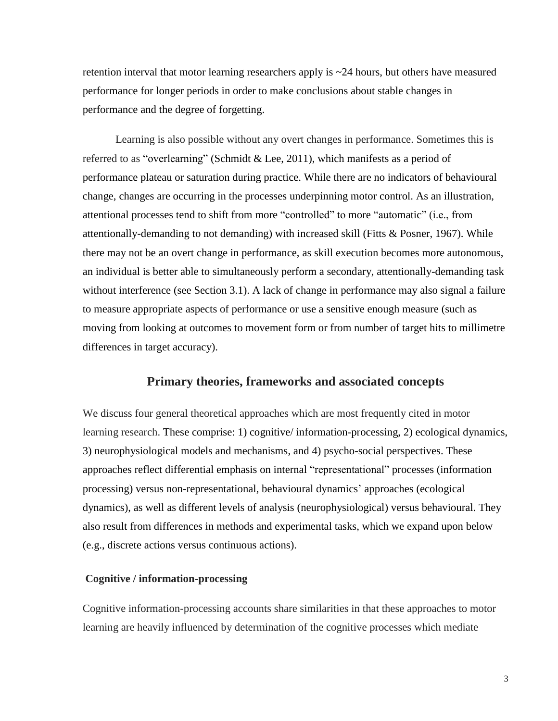retention interval that motor learning researchers apply is ~24 hours, but others have measured performance for longer periods in order to make conclusions about stable changes in performance and the degree of forgetting.

Learning is also possible without any overt changes in performance. Sometimes this is referred to as "overlearning" (Schmidt & Lee, 2011), which manifests as a period of performance plateau or saturation during practice. While there are no indicators of behavioural change, changes are occurring in the processes underpinning motor control. As an illustration, attentional processes tend to shift from more "controlled" to more "automatic" (i.e., from attentionally-demanding to not demanding) with increased skill (Fitts & Posner, 1967). While there may not be an overt change in performance, as skill execution becomes more autonomous, an individual is better able to simultaneously perform a secondary, attentionally-demanding task without interference (see Section 3.1). A lack of change in performance may also signal a failure to measure appropriate aspects of performance or use a sensitive enough measure (such as moving from looking at outcomes to movement form or from number of target hits to millimetre differences in target accuracy).

### **Primary theories, frameworks and associated concepts**

We discuss four general theoretical approaches which are most frequently cited in motor learning research. These comprise: 1) cognitive/ information-processing, 2) ecological dynamics, 3) neurophysiological models and mechanisms, and 4) psycho-social perspectives. These approaches reflect differential emphasis on internal "representational" processes (information processing) versus non-representational, behavioural dynamics' approaches (ecological dynamics), as well as different levels of analysis (neurophysiological) versus behavioural. They also result from differences in methods and experimental tasks, which we expand upon below (e.g., discrete actions versus continuous actions).

#### **Cognitive / information-processing**

Cognitive information-processing accounts share similarities in that these approaches to motor learning are heavily influenced by determination of the cognitive processes which mediate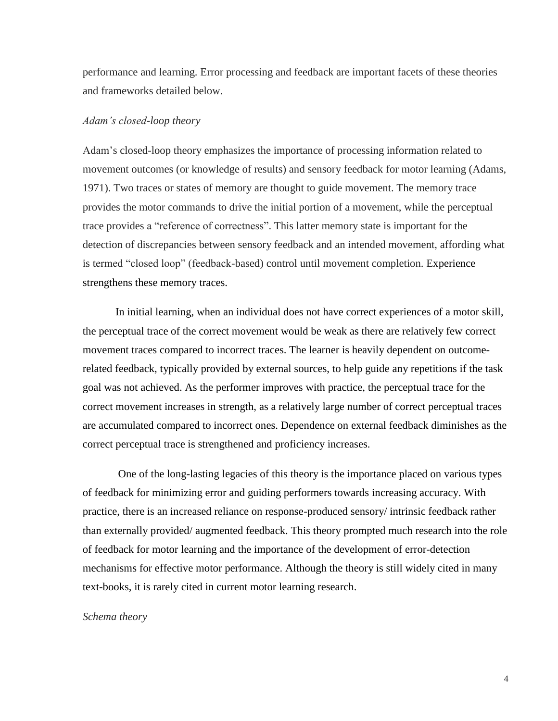performance and learning. Error processing and feedback are important facets of these theories and frameworks detailed below.

#### *Adam's closed-loop theory*

Adam's closed-loop theory emphasizes the importance of processing information related to movement outcomes (or knowledge of results) and sensory feedback for motor learning (Adams, 1971). Two traces or states of memory are thought to guide movement. The memory trace provides the motor commands to drive the initial portion of a movement, while the perceptual trace provides a "reference of correctness". This latter memory state is important for the detection of discrepancies between sensory feedback and an intended movement, affording what is termed "closed loop" (feedback-based) control until movement completion. Experience strengthens these memory traces.

In initial learning, when an individual does not have correct experiences of a motor skill, the perceptual trace of the correct movement would be weak as there are relatively few correct movement traces compared to incorrect traces. The learner is heavily dependent on outcomerelated feedback, typically provided by external sources, to help guide any repetitions if the task goal was not achieved. As the performer improves with practice, the perceptual trace for the correct movement increases in strength, as a relatively large number of correct perceptual traces are accumulated compared to incorrect ones. Dependence on external feedback diminishes as the correct perceptual trace is strengthened and proficiency increases.

One of the long-lasting legacies of this theory is the importance placed on various types of feedback for minimizing error and guiding performers towards increasing accuracy. With practice, there is an increased reliance on response-produced sensory/ intrinsic feedback rather than externally provided/ augmented feedback. This theory prompted much research into the role of feedback for motor learning and the importance of the development of error-detection mechanisms for effective motor performance. Although the theory is still widely cited in many text-books, it is rarely cited in current motor learning research.

#### *Schema theory*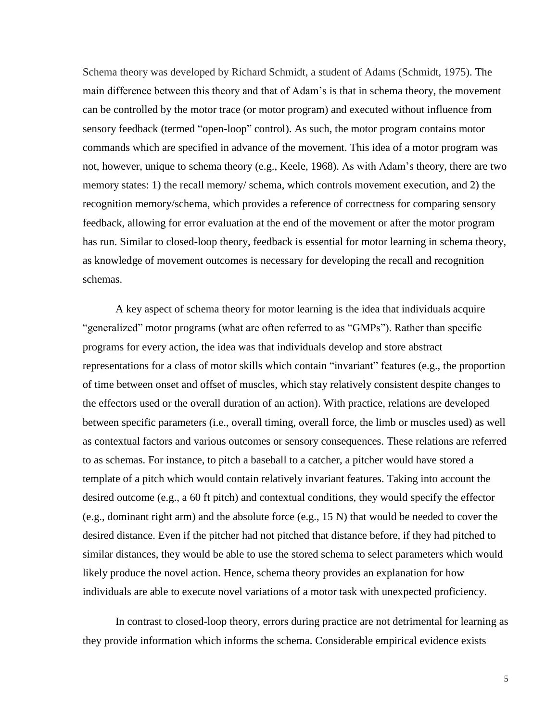Schema theory was developed by Richard Schmidt, a student of Adams (Schmidt, 1975). The main difference between this theory and that of Adam's is that in schema theory, the movement can be controlled by the motor trace (or motor program) and executed without influence from sensory feedback (termed "open-loop" control). As such, the motor program contains motor commands which are specified in advance of the movement. This idea of a motor program was not, however, unique to schema theory (e.g., Keele, 1968). As with Adam's theory, there are two memory states: 1) the recall memory/ schema, which controls movement execution, and 2) the recognition memory/schema, which provides a reference of correctness for comparing sensory feedback, allowing for error evaluation at the end of the movement or after the motor program has run. Similar to closed-loop theory, feedback is essential for motor learning in schema theory, as knowledge of movement outcomes is necessary for developing the recall and recognition schemas.

A key aspect of schema theory for motor learning is the idea that individuals acquire "generalized" motor programs (what are often referred to as "GMPs"). Rather than specific programs for every action, the idea was that individuals develop and store abstract representations for a class of motor skills which contain "invariant" features (e.g., the proportion of time between onset and offset of muscles, which stay relatively consistent despite changes to the effectors used or the overall duration of an action). With practice, relations are developed between specific parameters (i.e., overall timing, overall force, the limb or muscles used) as well as contextual factors and various outcomes or sensory consequences. These relations are referred to as schemas. For instance, to pitch a baseball to a catcher, a pitcher would have stored a template of a pitch which would contain relatively invariant features. Taking into account the desired outcome (e.g., a 60 ft pitch) and contextual conditions, they would specify the effector (e.g., dominant right arm) and the absolute force (e.g., 15 N) that would be needed to cover the desired distance. Even if the pitcher had not pitched that distance before, if they had pitched to similar distances, they would be able to use the stored schema to select parameters which would likely produce the novel action. Hence, schema theory provides an explanation for how individuals are able to execute novel variations of a motor task with unexpected proficiency.

In contrast to closed-loop theory, errors during practice are not detrimental for learning as they provide information which informs the schema. Considerable empirical evidence exists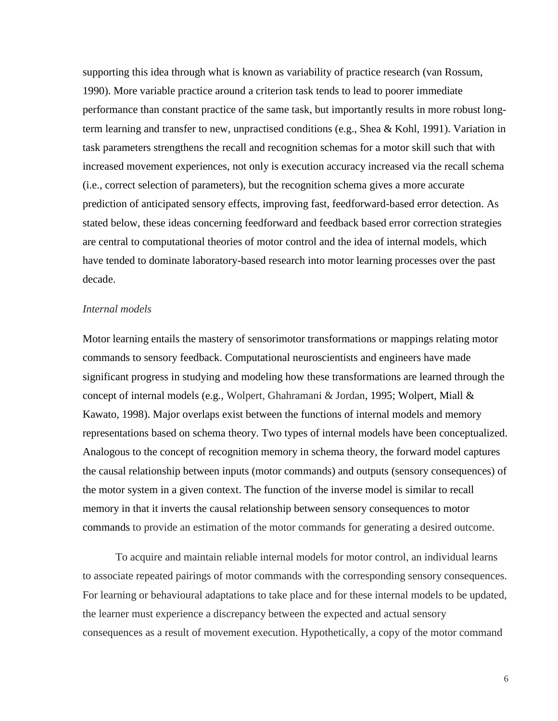supporting this idea through what is known as variability of practice research (van Rossum, 1990). More variable practice around a criterion task tends to lead to poorer immediate performance than constant practice of the same task, but importantly results in more robust longterm learning and transfer to new, unpractised conditions (e.g., Shea & Kohl, 1991). Variation in task parameters strengthens the recall and recognition schemas for a motor skill such that with increased movement experiences, not only is execution accuracy increased via the recall schema (i.e., correct selection of parameters), but the recognition schema gives a more accurate prediction of anticipated sensory effects, improving fast, feedforward-based error detection. As stated below, these ideas concerning feedforward and feedback based error correction strategies are central to computational theories of motor control and the idea of internal models, which have tended to dominate laboratory-based research into motor learning processes over the past decade.

#### *Internal models*

Motor learning entails the mastery of sensorimotor transformations or mappings relating motor commands to sensory feedback. Computational neuroscientists and engineers have made significant progress in studying and modeling how these transformations are learned through the concept of internal models (e.g., Wolpert, Ghahramani & Jordan, 1995; Wolpert, Miall & Kawato, 1998). Major overlaps exist between the functions of internal models and memory representations based on schema theory. Two types of internal models have been conceptualized. Analogous to the concept of recognition memory in schema theory, the forward model captures the causal relationship between inputs (motor commands) and outputs (sensory consequences) of the motor system in a given context. The function of the inverse model is similar to recall memory in that it inverts the causal relationship between sensory consequences to motor commands to provide an estimation of the motor commands for generating a desired outcome.

To acquire and maintain reliable internal models for motor control, an individual learns to associate repeated pairings of motor commands with the corresponding sensory consequences. For learning or behavioural adaptations to take place and for these internal models to be updated, the learner must experience a discrepancy between the expected and actual sensory consequences as a result of movement execution. Hypothetically, a copy of the motor command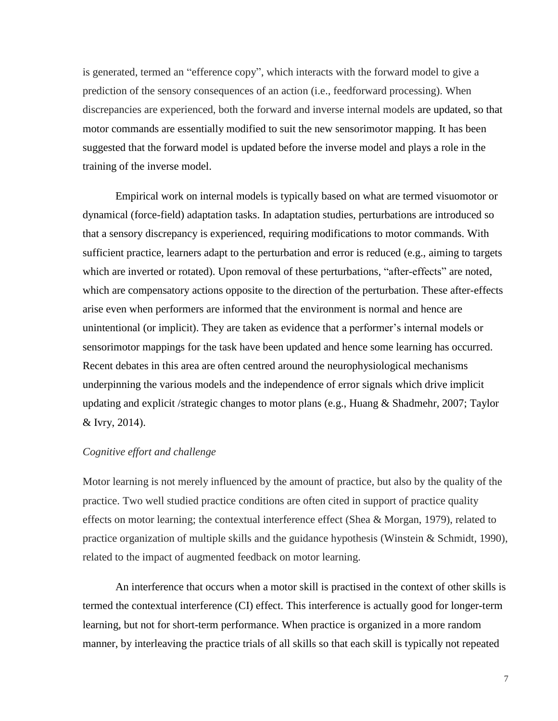is generated, termed an "efference copy", which interacts with the forward model to give a prediction of the sensory consequences of an action (i.e., feedforward processing). When discrepancies are experienced, both the forward and inverse internal models are updated, so that motor commands are essentially modified to suit the new sensorimotor mapping. It has been suggested that the forward model is updated before the inverse model and plays a role in the training of the inverse model.

Empirical work on internal models is typically based on what are termed visuomotor or dynamical (force-field) adaptation tasks. In adaptation studies, perturbations are introduced so that a sensory discrepancy is experienced, requiring modifications to motor commands. With sufficient practice, learners adapt to the perturbation and error is reduced (e.g., aiming to targets which are inverted or rotated). Upon removal of these perturbations, "after-effects" are noted, which are compensatory actions opposite to the direction of the perturbation. These after-effects arise even when performers are informed that the environment is normal and hence are unintentional (or implicit). They are taken as evidence that a performer's internal models or sensorimotor mappings for the task have been updated and hence some learning has occurred. Recent debates in this area are often centred around the neurophysiological mechanisms underpinning the various models and the independence of error signals which drive implicit updating and explicit /strategic changes to motor plans (e.g., Huang & Shadmehr, 2007; Taylor & Ivry, 2014).

#### *Cognitive effort and challenge*

Motor learning is not merely influenced by the amount of practice, but also by the quality of the practice. Two well studied practice conditions are often cited in support of practice quality effects on motor learning; the contextual interference effect (Shea & Morgan, 1979), related to practice organization of multiple skills and the guidance hypothesis (Winstein & Schmidt, 1990), related to the impact of augmented feedback on motor learning.

An interference that occurs when a motor skill is practised in the context of other skills is termed the contextual interference (CI) effect. This interference is actually good for longer-term learning, but not for short-term performance. When practice is organized in a more random manner, by interleaving the practice trials of all skills so that each skill is typically not repeated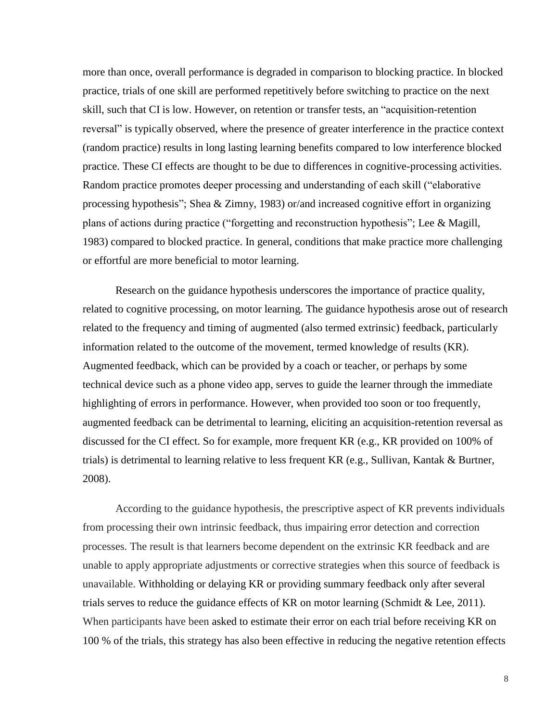more than once, overall performance is degraded in comparison to blocking practice. In blocked practice, trials of one skill are performed repetitively before switching to practice on the next skill, such that CI is low. However, on retention or transfer tests, an "acquisition-retention reversal" is typically observed, where the presence of greater interference in the practice context (random practice) results in long lasting learning benefits compared to low interference blocked practice. These CI effects are thought to be due to differences in cognitive-processing activities. Random practice promotes deeper processing and understanding of each skill ("elaborative processing hypothesis"; Shea & Zimny, 1983) or/and increased cognitive effort in organizing plans of actions during practice ("forgetting and reconstruction hypothesis"; Lee & Magill, 1983) compared to blocked practice. In general, conditions that make practice more challenging or effortful are more beneficial to motor learning.

Research on the guidance hypothesis underscores the importance of practice quality, related to cognitive processing, on motor learning. The guidance hypothesis arose out of research related to the frequency and timing of augmented (also termed extrinsic) feedback, particularly information related to the outcome of the movement, termed knowledge of results (KR). Augmented feedback, which can be provided by a coach or teacher, or perhaps by some technical device such as a phone video app, serves to guide the learner through the immediate highlighting of errors in performance. However, when provided too soon or too frequently, augmented feedback can be detrimental to learning, eliciting an acquisition-retention reversal as discussed for the CI effect. So for example, more frequent KR (e.g., KR provided on 100% of trials) is detrimental to learning relative to less frequent KR (e.g., Sullivan, Kantak & Burtner, 2008).

According to the guidance hypothesis, the prescriptive aspect of KR prevents individuals from processing their own intrinsic feedback, thus impairing error detection and correction processes. The result is that learners become dependent on the extrinsic KR feedback and are unable to apply appropriate adjustments or corrective strategies when this source of feedback is unavailable. Withholding or delaying KR or providing summary feedback only after several trials serves to reduce the guidance effects of KR on motor learning (Schmidt & Lee, 2011). When participants have been asked to estimate their error on each trial before receiving KR on 100 % of the trials, this strategy has also been effective in reducing the negative retention effects

8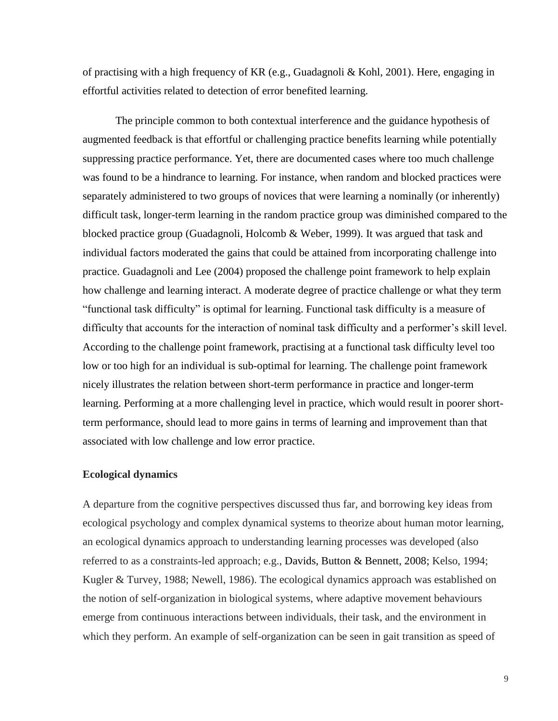of practising with a high frequency of KR (e.g., Guadagnoli & Kohl, 2001). Here, engaging in effortful activities related to detection of error benefited learning.

The principle common to both contextual interference and the guidance hypothesis of augmented feedback is that effortful or challenging practice benefits learning while potentially suppressing practice performance. Yet, there are documented cases where too much challenge was found to be a hindrance to learning. For instance, when random and blocked practices were separately administered to two groups of novices that were learning a nominally (or inherently) difficult task, longer-term learning in the random practice group was diminished compared to the blocked practice group (Guadagnoli, Holcomb & Weber, 1999). It was argued that task and individual factors moderated the gains that could be attained from incorporating challenge into practice. Guadagnoli and Lee (2004) proposed the challenge point framework to help explain how challenge and learning interact. A moderate degree of practice challenge or what they term "functional task difficulty" is optimal for learning. Functional task difficulty is a measure of difficulty that accounts for the interaction of nominal task difficulty and a performer's skill level. According to the challenge point framework, practising at a functional task difficulty level too low or too high for an individual is sub-optimal for learning. The challenge point framework nicely illustrates the relation between short-term performance in practice and longer-term learning. Performing at a more challenging level in practice, which would result in poorer shortterm performance, should lead to more gains in terms of learning and improvement than that associated with low challenge and low error practice.

#### **Ecological dynamics**

A departure from the cognitive perspectives discussed thus far, and borrowing key ideas from ecological psychology and complex dynamical systems to theorize about human motor learning, an ecological dynamics approach to understanding learning processes was developed (also referred to as a constraints-led approach; e.g., Davids, Button & Bennett, 2008; Kelso, 1994; Kugler & Turvey, 1988; Newell, 1986). The ecological dynamics approach was established on the notion of self-organization in biological systems, where adaptive movement behaviours emerge from continuous interactions between individuals, their task, and the environment in which they perform. An example of self-organization can be seen in gait transition as speed of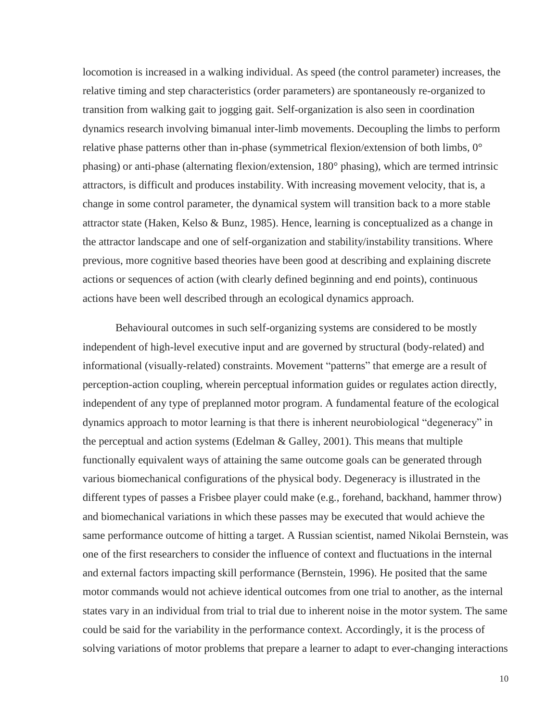locomotion is increased in a walking individual. As speed (the control parameter) increases, the relative timing and step characteristics (order parameters) are spontaneously re-organized to transition from walking gait to jogging gait. Self-organization is also seen in coordination dynamics research involving bimanual inter-limb movements. Decoupling the limbs to perform relative phase patterns other than in-phase (symmetrical flexion/extension of both limbs, 0° phasing) or anti-phase (alternating flexion/extension, 180° phasing), which are termed intrinsic attractors, is difficult and produces instability. With increasing movement velocity, that is, a change in some control parameter, the dynamical system will transition back to a more stable attractor state (Haken, Kelso & Bunz, 1985). Hence, learning is conceptualized as a change in the attractor landscape and one of self-organization and stability/instability transitions. Where previous, more cognitive based theories have been good at describing and explaining discrete actions or sequences of action (with clearly defined beginning and end points), continuous actions have been well described through an ecological dynamics approach.

Behavioural outcomes in such self-organizing systems are considered to be mostly independent of high-level executive input and are governed by structural (body-related) and informational (visually-related) constraints. Movement "patterns" that emerge are a result of perception-action coupling, wherein perceptual information guides or regulates action directly, independent of any type of preplanned motor program. A fundamental feature of the ecological dynamics approach to motor learning is that there is inherent neurobiological "degeneracy" in the perceptual and action systems (Edelman & Galley, 2001). This means that multiple functionally equivalent ways of attaining the same outcome goals can be generated through various biomechanical configurations of the physical body. Degeneracy is illustrated in the different types of passes a Frisbee player could make (e.g., forehand, backhand, hammer throw) and biomechanical variations in which these passes may be executed that would achieve the same performance outcome of hitting a target. A Russian scientist, named Nikolai Bernstein, was one of the first researchers to consider the influence of context and fluctuations in the internal and external factors impacting skill performance (Bernstein, 1996). He posited that the same motor commands would not achieve identical outcomes from one trial to another, as the internal states vary in an individual from trial to trial due to inherent noise in the motor system. The same could be said for the variability in the performance context. Accordingly, it is the process of solving variations of motor problems that prepare a learner to adapt to ever-changing interactions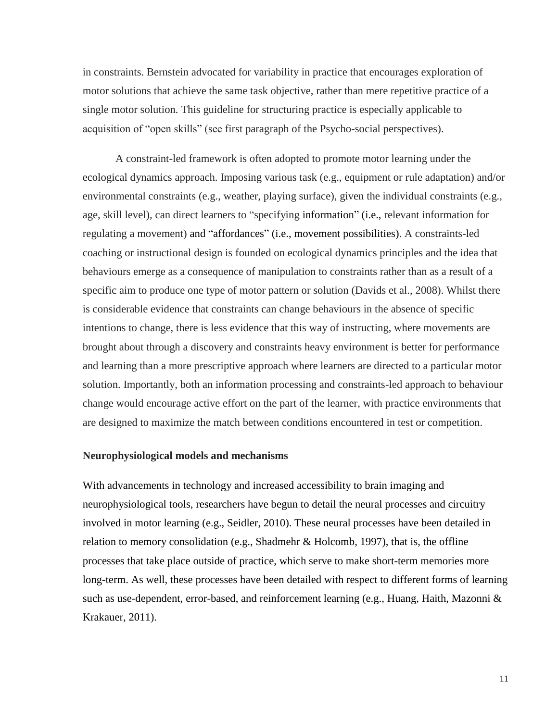in constraints. Bernstein advocated for variability in practice that encourages exploration of motor solutions that achieve the same task objective, rather than mere repetitive practice of a single motor solution. This guideline for structuring practice is especially applicable to acquisition of "open skills" (see first paragraph of the Psycho-social perspectives).

A constraint-led framework is often adopted to promote motor learning under the ecological dynamics approach. Imposing various task (e.g., equipment or rule adaptation) and/or environmental constraints (e.g., weather, playing surface), given the individual constraints (e.g., age, skill level), can direct learners to "specifying information" (i.e., relevant information for regulating a movement) and "affordances" (i.e., movement possibilities). A constraints-led coaching or instructional design is founded on ecological dynamics principles and the idea that behaviours emerge as a consequence of manipulation to constraints rather than as a result of a specific aim to produce one type of motor pattern or solution (Davids et al., 2008). Whilst there is considerable evidence that constraints can change behaviours in the absence of specific intentions to change, there is less evidence that this way of instructing, where movements are brought about through a discovery and constraints heavy environment is better for performance and learning than a more prescriptive approach where learners are directed to a particular motor solution. Importantly, both an information processing and constraints-led approach to behaviour change would encourage active effort on the part of the learner, with practice environments that are designed to maximize the match between conditions encountered in test or competition.

#### **Neurophysiological models and mechanisms**

With advancements in technology and increased accessibility to brain imaging and neurophysiological tools, researchers have begun to detail the neural processes and circuitry involved in motor learning (e.g., Seidler, 2010). These neural processes have been detailed in relation to memory consolidation (e.g., Shadmehr & Holcomb, 1997), that is, the offline processes that take place outside of practice, which serve to make short-term memories more long-term. As well, these processes have been detailed with respect to different forms of learning such as use-dependent, error-based, and reinforcement learning (e.g., Huang, Haith, Mazonni & Krakauer, 2011).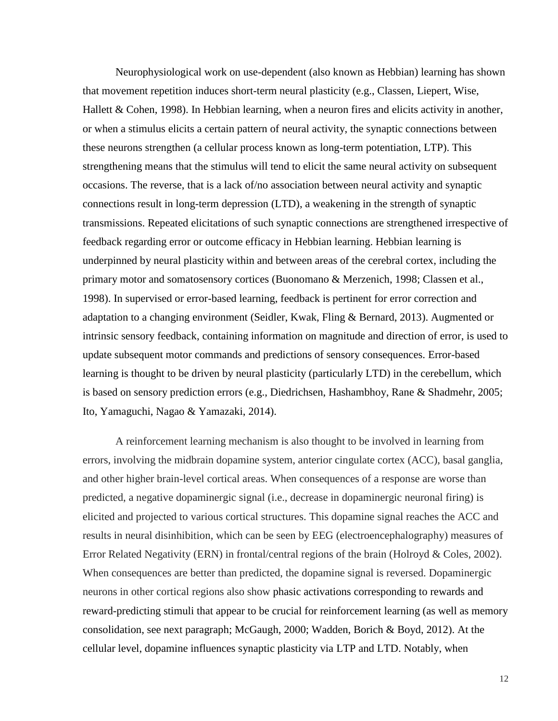Neurophysiological work on use-dependent (also known as Hebbian) learning has shown that movement repetition induces short-term neural plasticity (e.g., Classen, Liepert, Wise, Hallett & Cohen, 1998). In Hebbian learning, when a neuron fires and elicits activity in another, or when a stimulus elicits a certain pattern of neural activity, the synaptic connections between these neurons strengthen (a cellular process known as long-term potentiation, LTP). This strengthening means that the stimulus will tend to elicit the same neural activity on subsequent occasions. The reverse, that is a lack of/no association between neural activity and synaptic connections result in long-term depression (LTD), a weakening in the strength of synaptic transmissions. Repeated elicitations of such synaptic connections are strengthened irrespective of feedback regarding error or outcome efficacy in Hebbian learning. Hebbian learning is underpinned by neural plasticity within and between areas of the cerebral cortex, including the primary motor and somatosensory cortices (Buonomano & Merzenich, 1998; Classen et al., 1998). In supervised or error-based learning, feedback is pertinent for error correction and adaptation to a changing environment (Seidler, Kwak, Fling & Bernard, 2013). Augmented or intrinsic sensory feedback, containing information on magnitude and direction of error, is used to update subsequent motor commands and predictions of sensory consequences. Error-based learning is thought to be driven by neural plasticity (particularly LTD) in the cerebellum, which is based on sensory prediction errors (e.g., Diedrichsen, Hashambhoy, Rane & Shadmehr, 2005; Ito, Yamaguchi, Nagao & Yamazaki, 2014).

A reinforcement learning mechanism is also thought to be involved in learning from errors, involving the midbrain dopamine system, anterior cingulate cortex (ACC), basal ganglia, and other higher brain-level cortical areas. When consequences of a response are worse than predicted, a negative dopaminergic signal (i.e., decrease in dopaminergic neuronal firing) is elicited and projected to various cortical structures. This dopamine signal reaches the ACC and results in neural disinhibition, which can be seen by EEG (electroencephalography) measures of Error Related Negativity (ERN) in frontal/central regions of the brain (Holroyd & Coles, 2002). When consequences are better than predicted, the dopamine signal is reversed. Dopaminergic neurons in other cortical regions also show phasic activations corresponding to rewards and reward-predicting stimuli that appear to be crucial for reinforcement learning (as well as memory consolidation, see next paragraph; McGaugh, 2000; Wadden, Borich & Boyd, 2012). At the cellular level, dopamine influences synaptic plasticity via LTP and LTD. Notably, when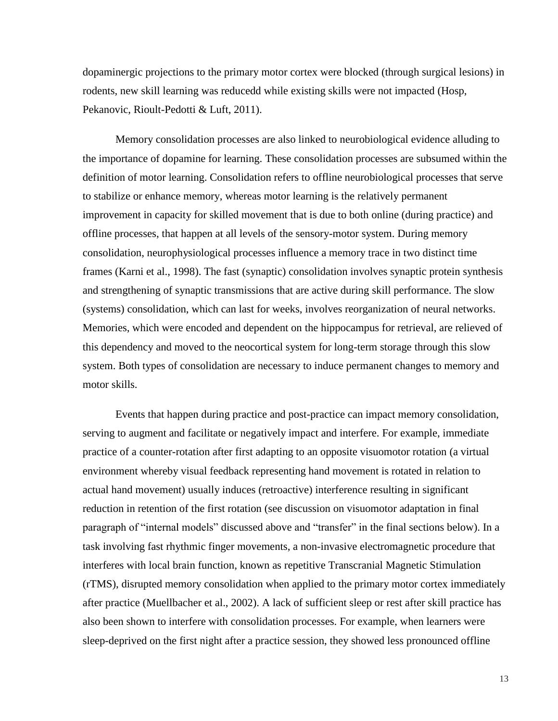dopaminergic projections to the primary motor cortex were blocked (through surgical lesions) in rodents, new skill learning was reducedd while existing skills were not impacted (Hosp, Pekanovic, Rioult-Pedotti & Luft, 2011).

Memory consolidation processes are also linked to neurobiological evidence alluding to the importance of dopamine for learning. These consolidation processes are subsumed within the definition of motor learning. Consolidation refers to offline neurobiological processes that serve to stabilize or enhance memory, whereas motor learning is the relatively permanent improvement in capacity for skilled movement that is due to both online (during practice) and offline processes, that happen at all levels of the sensory-motor system. During memory consolidation, neurophysiological processes influence a memory trace in two distinct time frames (Karni et al., 1998). The fast (synaptic) consolidation involves synaptic protein synthesis and strengthening of synaptic transmissions that are active during skill performance. The slow (systems) consolidation, which can last for weeks, involves reorganization of neural networks. Memories, which were encoded and dependent on the hippocampus for retrieval, are relieved of this dependency and moved to the neocortical system for long-term storage through this slow system. Both types of consolidation are necessary to induce permanent changes to memory and motor skills.

Events that happen during practice and post-practice can impact memory consolidation, serving to augment and facilitate or negatively impact and interfere. For example, immediate practice of a counter-rotation after first adapting to an opposite visuomotor rotation (a virtual environment whereby visual feedback representing hand movement is rotated in relation to actual hand movement) usually induces (retroactive) interference resulting in significant reduction in retention of the first rotation (see discussion on visuomotor adaptation in final paragraph of "internal models" discussed above and "transfer" in the final sections below). In a task involving fast rhythmic finger movements, a non-invasive electromagnetic procedure that interferes with local brain function, known as repetitive Transcranial Magnetic Stimulation (rTMS), disrupted memory consolidation when applied to the primary motor cortex immediately after practice (Muellbacher et al., 2002). A lack of sufficient sleep or rest after skill practice has also been shown to interfere with consolidation processes. For example, when learners were sleep-deprived on the first night after a practice session, they showed less pronounced offline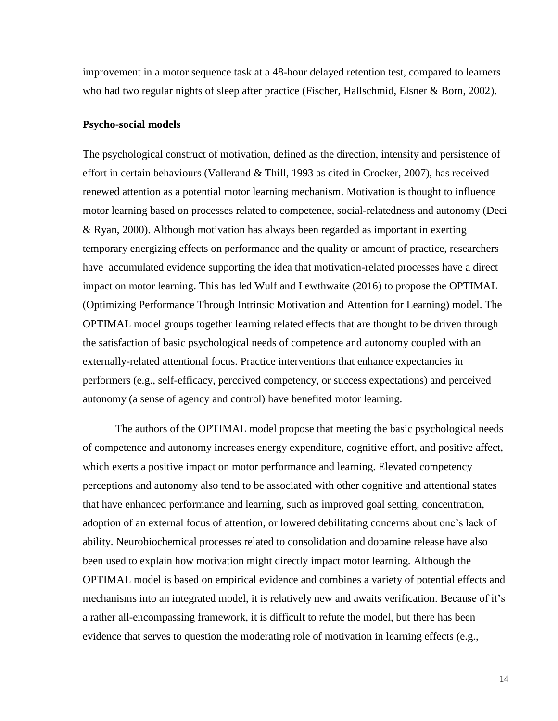improvement in a motor sequence task at a 48-hour delayed retention test, compared to learners who had two regular nights of sleep after practice (Fischer, Hallschmid, Elsner & Born, 2002).

#### **Psycho-social models**

The psychological construct of motivation, defined as the direction, intensity and persistence of effort in certain behaviours (Vallerand & Thill, 1993 as cited in Crocker, 2007), has received renewed attention as a potential motor learning mechanism. Motivation is thought to influence motor learning based on processes related to competence, social-relatedness and autonomy (Deci & Ryan, 2000). Although motivation has always been regarded as important in exerting temporary energizing effects on performance and the quality or amount of practice, researchers have accumulated evidence supporting the idea that motivation-related processes have a direct impact on motor learning. This has led Wulf and Lewthwaite (2016) to propose the OPTIMAL (Optimizing Performance Through Intrinsic Motivation and Attention for Learning) model. The OPTIMAL model groups together learning related effects that are thought to be driven through the satisfaction of basic psychological needs of competence and autonomy coupled with an externally-related attentional focus. Practice interventions that enhance expectancies in performers (e.g., self-efficacy, perceived competency, or success expectations) and perceived autonomy (a sense of agency and control) have benefited motor learning.

The authors of the OPTIMAL model propose that meeting the basic psychological needs of competence and autonomy increases energy expenditure, cognitive effort, and positive affect, which exerts a positive impact on motor performance and learning. Elevated competency perceptions and autonomy also tend to be associated with other cognitive and attentional states that have enhanced performance and learning, such as improved goal setting, concentration, adoption of an external focus of attention, or lowered debilitating concerns about one's lack of ability. Neurobiochemical processes related to consolidation and dopamine release have also been used to explain how motivation might directly impact motor learning. Although the OPTIMAL model is based on empirical evidence and combines a variety of potential effects and mechanisms into an integrated model, it is relatively new and awaits verification. Because of it's a rather all-encompassing framework, it is difficult to refute the model, but there has been evidence that serves to question the moderating role of motivation in learning effects (e.g.,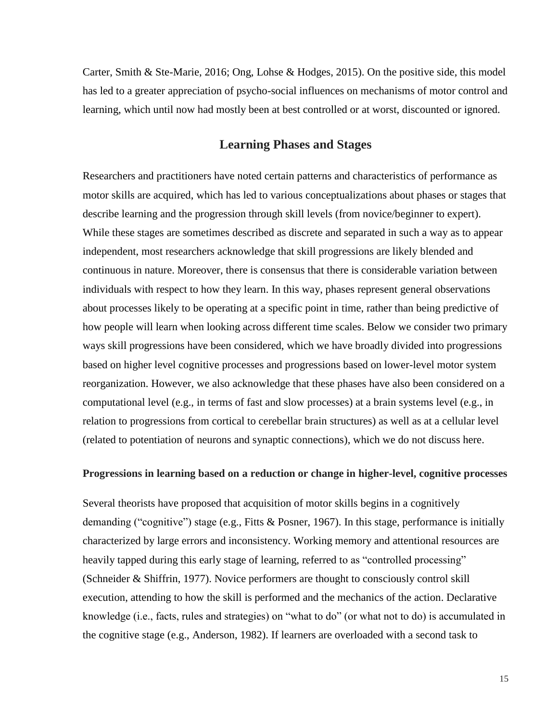Carter, Smith & Ste-Marie, 2016; Ong, Lohse & Hodges, 2015). On the positive side, this model has led to a greater appreciation of psycho-social influences on mechanisms of motor control and learning, which until now had mostly been at best controlled or at worst, discounted or ignored.

## **Learning Phases and Stages**

Researchers and practitioners have noted certain patterns and characteristics of performance as motor skills are acquired, which has led to various conceptualizations about phases or stages that describe learning and the progression through skill levels (from novice/beginner to expert). While these stages are sometimes described as discrete and separated in such a way as to appear independent, most researchers acknowledge that skill progressions are likely blended and continuous in nature. Moreover, there is consensus that there is considerable variation between individuals with respect to how they learn. In this way, phases represent general observations about processes likely to be operating at a specific point in time, rather than being predictive of how people will learn when looking across different time scales. Below we consider two primary ways skill progressions have been considered, which we have broadly divided into progressions based on higher level cognitive processes and progressions based on lower-level motor system reorganization. However, we also acknowledge that these phases have also been considered on a computational level (e.g., in terms of fast and slow processes) at a brain systems level (e.g., in relation to progressions from cortical to cerebellar brain structures) as well as at a cellular level (related to potentiation of neurons and synaptic connections), which we do not discuss here.

## **Progressions in learning based on a reduction or change in higher-level, cognitive processes**

Several theorists have proposed that acquisition of motor skills begins in a cognitively demanding ("cognitive") stage (e.g., Fitts & Posner, 1967). In this stage, performance is initially characterized by large errors and inconsistency. Working memory and attentional resources are heavily tapped during this early stage of learning, referred to as "controlled processing" (Schneider & Shiffrin, 1977). Novice performers are thought to consciously control skill execution, attending to how the skill is performed and the mechanics of the action. Declarative knowledge (i.e., facts, rules and strategies) on "what to do" (or what not to do) is accumulated in the cognitive stage (e.g., Anderson, 1982). If learners are overloaded with a second task to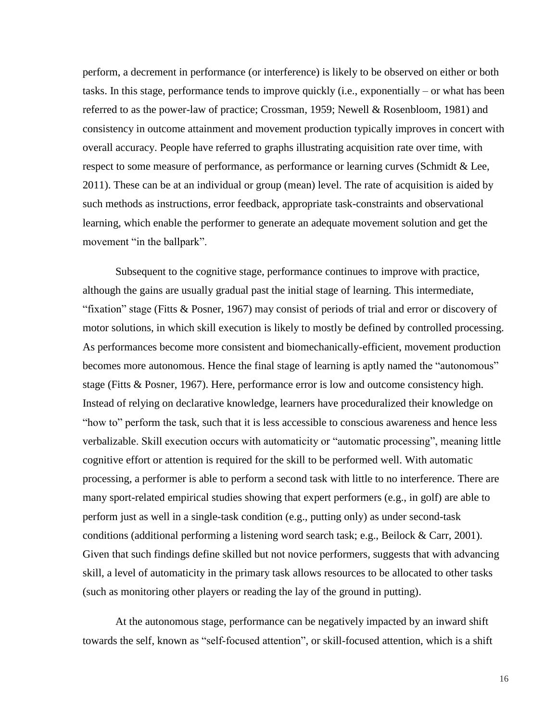perform, a decrement in performance (or interference) is likely to be observed on either or both tasks. In this stage, performance tends to improve quickly (i.e., exponentially – or what has been referred to as the power-law of practice; Crossman, 1959; Newell & Rosenbloom, 1981) and consistency in outcome attainment and movement production typically improves in concert with overall accuracy. People have referred to graphs illustrating acquisition rate over time, with respect to some measure of performance, as performance or learning curves (Schmidt & Lee, 2011). These can be at an individual or group (mean) level. The rate of acquisition is aided by such methods as instructions, error feedback, appropriate task-constraints and observational learning, which enable the performer to generate an adequate movement solution and get the movement "in the ballpark".

Subsequent to the cognitive stage, performance continues to improve with practice, although the gains are usually gradual past the initial stage of learning. This intermediate, "fixation" stage (Fitts & Posner, 1967) may consist of periods of trial and error or discovery of motor solutions, in which skill execution is likely to mostly be defined by controlled processing. As performances become more consistent and biomechanically-efficient, movement production becomes more autonomous. Hence the final stage of learning is aptly named the "autonomous" stage (Fitts & Posner, 1967). Here, performance error is low and outcome consistency high. Instead of relying on declarative knowledge, learners have proceduralized their knowledge on "how to" perform the task, such that it is less accessible to conscious awareness and hence less verbalizable. Skill execution occurs with automaticity or "automatic processing", meaning little cognitive effort or attention is required for the skill to be performed well. With automatic processing, a performer is able to perform a second task with little to no interference. There are many sport-related empirical studies showing that expert performers (e.g., in golf) are able to perform just as well in a single-task condition (e.g., putting only) as under second-task conditions (additional performing a listening word search task; e.g., Beilock & Carr, 2001). Given that such findings define skilled but not novice performers, suggests that with advancing skill, a level of automaticity in the primary task allows resources to be allocated to other tasks (such as monitoring other players or reading the lay of the ground in putting).

At the autonomous stage, performance can be negatively impacted by an inward shift towards the self, known as "self-focused attention", or skill-focused attention, which is a shift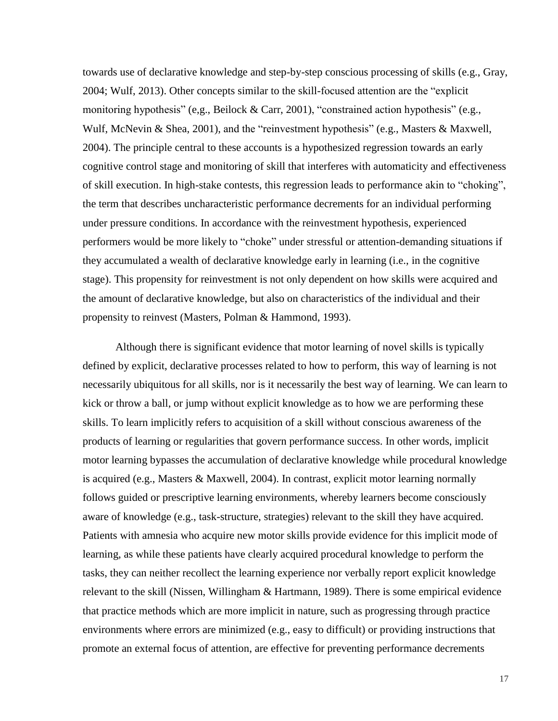towards use of declarative knowledge and step-by-step conscious processing of skills (e.g., Gray, 2004; Wulf, 2013). Other concepts similar to the skill-focused attention are the "explicit monitoring hypothesis" (e,g., Beilock & Carr, 2001), "constrained action hypothesis" (e.g., Wulf, McNevin & Shea, 2001), and the "reinvestment hypothesis" (e.g., Masters & Maxwell, 2004). The principle central to these accounts is a hypothesized regression towards an early cognitive control stage and monitoring of skill that interferes with automaticity and effectiveness of skill execution. In high-stake contests, this regression leads to performance akin to "choking", the term that describes uncharacteristic performance decrements for an individual performing under pressure conditions. In accordance with the reinvestment hypothesis, experienced performers would be more likely to "choke" under stressful or attention-demanding situations if they accumulated a wealth of declarative knowledge early in learning (i.e., in the cognitive stage). This propensity for reinvestment is not only dependent on how skills were acquired and the amount of declarative knowledge, but also on characteristics of the individual and their propensity to reinvest (Masters, Polman & Hammond, 1993).

Although there is significant evidence that motor learning of novel skills is typically defined by explicit, declarative processes related to how to perform, this way of learning is not necessarily ubiquitous for all skills, nor is it necessarily the best way of learning. We can learn to kick or throw a ball, or jump without explicit knowledge as to how we are performing these skills. To learn implicitly refers to acquisition of a skill without conscious awareness of the products of learning or regularities that govern performance success. In other words, implicit motor learning bypasses the accumulation of declarative knowledge while procedural knowledge is acquired (e.g., Masters & Maxwell, 2004). In contrast, explicit motor learning normally follows guided or prescriptive learning environments, whereby learners become consciously aware of knowledge (e.g., task-structure, strategies) relevant to the skill they have acquired. Patients with amnesia who acquire new motor skills provide evidence for this implicit mode of learning, as while these patients have clearly acquired procedural knowledge to perform the tasks, they can neither recollect the learning experience nor verbally report explicit knowledge relevant to the skill (Nissen, Willingham & Hartmann, 1989). There is some empirical evidence that practice methods which are more implicit in nature, such as progressing through practice environments where errors are minimized (e.g., easy to difficult) or providing instructions that promote an external focus of attention, are effective for preventing performance decrements

17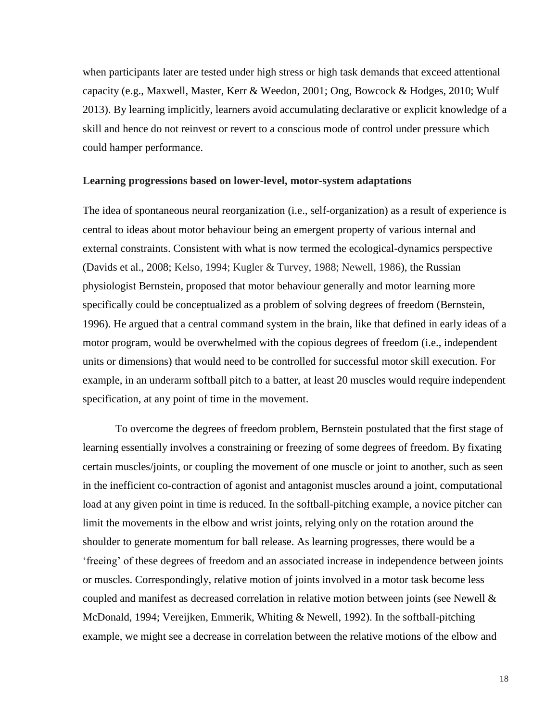when participants later are tested under high stress or high task demands that exceed attentional capacity (e.g., Maxwell, Master, Kerr & Weedon, 2001; Ong, Bowcock & Hodges, 2010; Wulf 2013). By learning implicitly, learners avoid accumulating declarative or explicit knowledge of a skill and hence do not reinvest or revert to a conscious mode of control under pressure which could hamper performance.

#### **Learning progressions based on lower-level, motor-system adaptations**

The idea of spontaneous neural reorganization (i.e., self-organization) as a result of experience is central to ideas about motor behaviour being an emergent property of various internal and external constraints. Consistent with what is now termed the ecological-dynamics perspective (Davids et al., 2008; Kelso, 1994; Kugler & Turvey, 1988; Newell, 1986), the Russian physiologist Bernstein, proposed that motor behaviour generally and motor learning more specifically could be conceptualized as a problem of solving degrees of freedom (Bernstein, 1996). He argued that a central command system in the brain, like that defined in early ideas of a motor program, would be overwhelmed with the copious degrees of freedom (i.e., independent units or dimensions) that would need to be controlled for successful motor skill execution. For example, in an underarm softball pitch to a batter, at least 20 muscles would require independent specification, at any point of time in the movement.

To overcome the degrees of freedom problem, Bernstein postulated that the first stage of learning essentially involves a constraining or freezing of some degrees of freedom. By fixating certain muscles/joints, or coupling the movement of one muscle or joint to another, such as seen in the inefficient co-contraction of agonist and antagonist muscles around a joint, computational load at any given point in time is reduced. In the softball-pitching example, a novice pitcher can limit the movements in the elbow and wrist joints, relying only on the rotation around the shoulder to generate momentum for ball release. As learning progresses, there would be a 'freeing' of these degrees of freedom and an associated increase in independence between joints or muscles. Correspondingly, relative motion of joints involved in a motor task become less coupled and manifest as decreased correlation in relative motion between joints (see Newell & McDonald, 1994; Vereijken, Emmerik, Whiting & Newell, 1992). In the softball-pitching example, we might see a decrease in correlation between the relative motions of the elbow and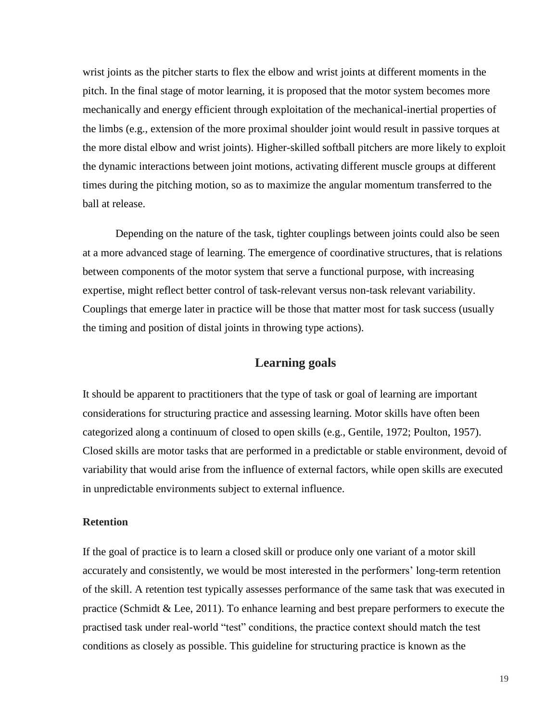wrist joints as the pitcher starts to flex the elbow and wrist joints at different moments in the pitch. In the final stage of motor learning, it is proposed that the motor system becomes more mechanically and energy efficient through exploitation of the mechanical-inertial properties of the limbs (e.g., extension of the more proximal shoulder joint would result in passive torques at the more distal elbow and wrist joints). Higher-skilled softball pitchers are more likely to exploit the dynamic interactions between joint motions, activating different muscle groups at different times during the pitching motion, so as to maximize the angular momentum transferred to the ball at release.

Depending on the nature of the task, tighter couplings between joints could also be seen at a more advanced stage of learning. The emergence of coordinative structures, that is relations between components of the motor system that serve a functional purpose, with increasing expertise, might reflect better control of task-relevant versus non-task relevant variability. Couplings that emerge later in practice will be those that matter most for task success (usually the timing and position of distal joints in throwing type actions).

# **Learning goals**

It should be apparent to practitioners that the type of task or goal of learning are important considerations for structuring practice and assessing learning. Motor skills have often been categorized along a continuum of closed to open skills (e.g., Gentile, 1972; Poulton, 1957). Closed skills are motor tasks that are performed in a predictable or stable environment, devoid of variability that would arise from the influence of external factors, while open skills are executed in unpredictable environments subject to external influence.

#### **Retention**

If the goal of practice is to learn a closed skill or produce only one variant of a motor skill accurately and consistently, we would be most interested in the performers' long-term retention of the skill. A retention test typically assesses performance of the same task that was executed in practice (Schmidt & Lee, 2011). To enhance learning and best prepare performers to execute the practised task under real-world "test" conditions, the practice context should match the test conditions as closely as possible. This guideline for structuring practice is known as the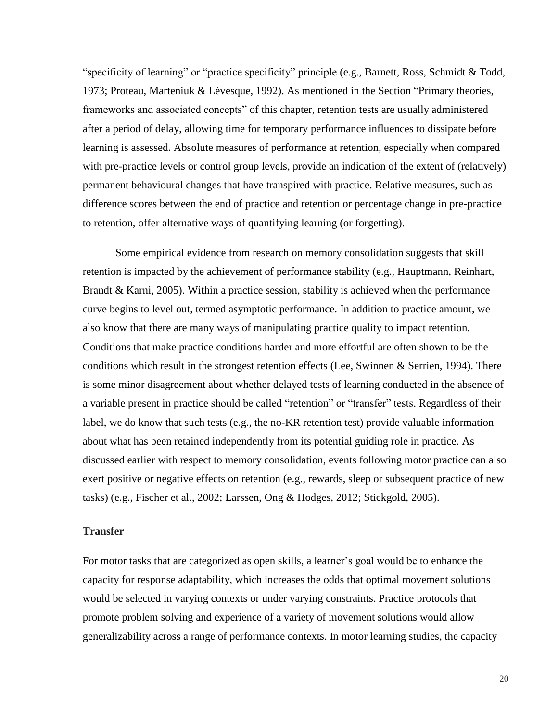"specificity of learning" or "practice specificity" principle (e.g., Barnett, Ross, Schmidt & Todd, 1973; Proteau, Marteniuk & Lévesque, 1992). As mentioned in the Section "Primary theories, frameworks and associated concepts" of this chapter, retention tests are usually administered after a period of delay, allowing time for temporary performance influences to dissipate before learning is assessed. Absolute measures of performance at retention, especially when compared with pre-practice levels or control group levels, provide an indication of the extent of (relatively) permanent behavioural changes that have transpired with practice. Relative measures, such as difference scores between the end of practice and retention or percentage change in pre-practice to retention, offer alternative ways of quantifying learning (or forgetting).

Some empirical evidence from research on memory consolidation suggests that skill retention is impacted by the achievement of performance stability (e.g., Hauptmann, Reinhart, Brandt & Karni, 2005). Within a practice session, stability is achieved when the performance curve begins to level out, termed asymptotic performance. In addition to practice amount, we also know that there are many ways of manipulating practice quality to impact retention. Conditions that make practice conditions harder and more effortful are often shown to be the conditions which result in the strongest retention effects (Lee, Swinnen & Serrien, 1994). There is some minor disagreement about whether delayed tests of learning conducted in the absence of a variable present in practice should be called "retention" or "transfer" tests. Regardless of their label, we do know that such tests (e.g., the no-KR retention test) provide valuable information about what has been retained independently from its potential guiding role in practice. As discussed earlier with respect to memory consolidation, events following motor practice can also exert positive or negative effects on retention (e.g., rewards, sleep or subsequent practice of new tasks) (e.g., Fischer et al., 2002; Larssen, Ong & Hodges, 2012; Stickgold, 2005).

#### **Transfer**

For motor tasks that are categorized as open skills, a learner's goal would be to enhance the capacity for response adaptability, which increases the odds that optimal movement solutions would be selected in varying contexts or under varying constraints. Practice protocols that promote problem solving and experience of a variety of movement solutions would allow generalizability across a range of performance contexts. In motor learning studies, the capacity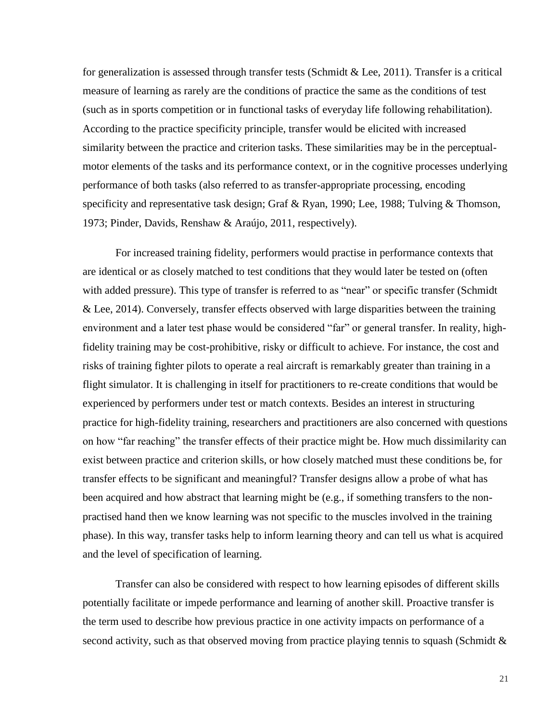for generalization is assessed through transfer tests (Schmidt & Lee, 2011). Transfer is a critical measure of learning as rarely are the conditions of practice the same as the conditions of test (such as in sports competition or in functional tasks of everyday life following rehabilitation). According to the practice specificity principle, transfer would be elicited with increased similarity between the practice and criterion tasks. These similarities may be in the perceptualmotor elements of the tasks and its performance context, or in the cognitive processes underlying performance of both tasks (also referred to as transfer-appropriate processing, encoding specificity and representative task design; Graf & Ryan, 1990; Lee, 1988; Tulving & Thomson, 1973; Pinder, Davids, Renshaw & Araújo, 2011, respectively).

For increased training fidelity, performers would practise in performance contexts that are identical or as closely matched to test conditions that they would later be tested on (often with added pressure). This type of transfer is referred to as "near" or specific transfer (Schmidt & Lee, 2014). Conversely, transfer effects observed with large disparities between the training environment and a later test phase would be considered "far" or general transfer. In reality, highfidelity training may be cost-prohibitive, risky or difficult to achieve. For instance, the cost and risks of training fighter pilots to operate a real aircraft is remarkably greater than training in a flight simulator. It is challenging in itself for practitioners to re-create conditions that would be experienced by performers under test or match contexts. Besides an interest in structuring practice for high-fidelity training, researchers and practitioners are also concerned with questions on how "far reaching" the transfer effects of their practice might be. How much dissimilarity can exist between practice and criterion skills, or how closely matched must these conditions be, for transfer effects to be significant and meaningful? Transfer designs allow a probe of what has been acquired and how abstract that learning might be (e.g., if something transfers to the nonpractised hand then we know learning was not specific to the muscles involved in the training phase). In this way, transfer tasks help to inform learning theory and can tell us what is acquired and the level of specification of learning.

Transfer can also be considered with respect to how learning episodes of different skills potentially facilitate or impede performance and learning of another skill. Proactive transfer is the term used to describe how previous practice in one activity impacts on performance of a second activity, such as that observed moving from practice playing tennis to squash (Schmidt &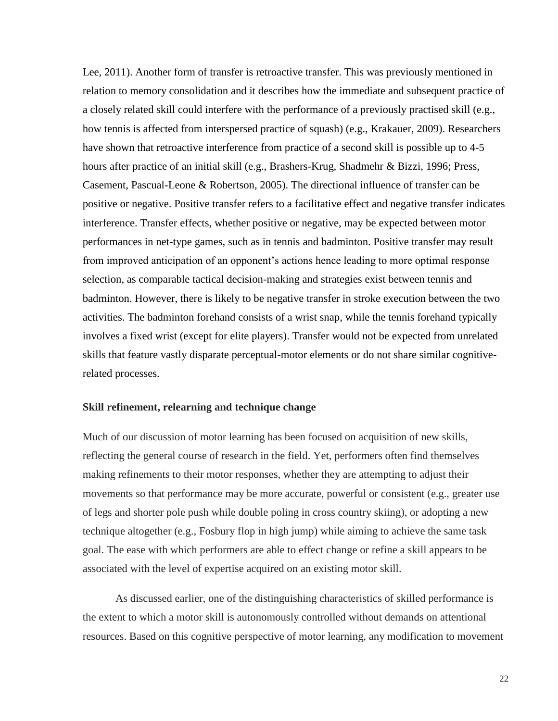Lee, 2011). Another form of transfer is retroactive transfer. This was previously mentioned in relation to memory consolidation and it describes how the immediate and subsequent practice of a closely related skill could interfere with the performance of a previously practised skill (e.g., how tennis is affected from interspersed practice of squash) (e.g., Krakauer, 2009). Researchers have shown that retroactive interference from practice of a second skill is possible up to 4-5 hours after practice of an initial skill (e.g., Brashers-Krug, Shadmehr & Bizzi, 1996; Press, Casement, Pascual-Leone & Robertson, 2005). The directional influence of transfer can be positive or negative. Positive transfer refers to a facilitative effect and negative transfer indicates interference. Transfer effects, whether positive or negative, may be expected between motor performances in net-type games, such as in tennis and badminton. Positive transfer may result from improved anticipation of an opponent's actions hence leading to more optimal response selection, as comparable tactical decision-making and strategies exist between tennis and badminton. However, there is likely to be negative transfer in stroke execution between the two activities. The badminton forehand consists of a wrist snap, while the tennis forehand typically involves a fixed wrist (except for elite players). Transfer would not be expected from unrelated skills that feature vastly disparate perceptual-motor elements or do not share similar cognitiverelated processes.

#### **Skill refinement, relearning and technique change**

Much of our discussion of motor learning has been focused on acquisition of new skills, reflecting the general course of research in the field. Yet, performers often find themselves making refinements to their motor responses, whether they are attempting to adjust their movements so that performance may be more accurate, powerful or consistent (e.g., greater use of legs and shorter pole push while double poling in cross country skiing), or adopting a new technique altogether (e.g., Fosbury flop in high jump) while aiming to achieve the same task goal. The ease with which performers are able to effect change or refine a skill appears to be associated with the level of expertise acquired on an existing motor skill.

As discussed earlier, one of the distinguishing characteristics of skilled performance is the extent to which a motor skill is autonomously controlled without demands on attentional resources. Based on this cognitive perspective of motor learning, any modification to movement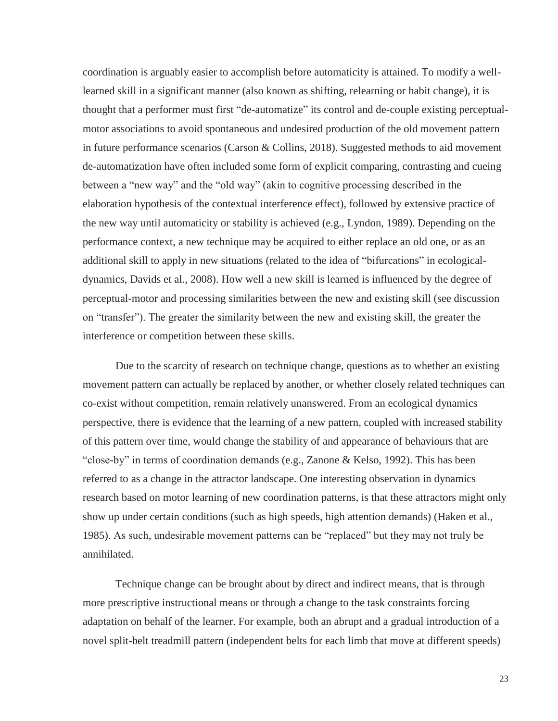coordination is arguably easier to accomplish before automaticity is attained. To modify a welllearned skill in a significant manner (also known as shifting, relearning or habit change), it is thought that a performer must first "de-automatize" its control and de-couple existing perceptualmotor associations to avoid spontaneous and undesired production of the old movement pattern in future performance scenarios (Carson & Collins, 2018). Suggested methods to aid movement de-automatization have often included some form of explicit comparing, contrasting and cueing between a "new way" and the "old way" (akin to cognitive processing described in the elaboration hypothesis of the contextual interference effect), followed by extensive practice of the new way until automaticity or stability is achieved (e.g., Lyndon, 1989). Depending on the performance context, a new technique may be acquired to either replace an old one, or as an additional skill to apply in new situations (related to the idea of "bifurcations" in ecologicaldynamics, Davids et al., 2008). How well a new skill is learned is influenced by the degree of perceptual-motor and processing similarities between the new and existing skill (see discussion on "transfer"). The greater the similarity between the new and existing skill, the greater the interference or competition between these skills.

Due to the scarcity of research on technique change, questions as to whether an existing movement pattern can actually be replaced by another, or whether closely related techniques can co-exist without competition, remain relatively unanswered. From an ecological dynamics perspective, there is evidence that the learning of a new pattern, coupled with increased stability of this pattern over time, would change the stability of and appearance of behaviours that are "close-by" in terms of coordination demands (e.g., Zanone & Kelso, 1992). This has been referred to as a change in the attractor landscape. One interesting observation in dynamics research based on motor learning of new coordination patterns, is that these attractors might only show up under certain conditions (such as high speeds, high attention demands) (Haken et al., 1985). As such, undesirable movement patterns can be "replaced" but they may not truly be annihilated.

Technique change can be brought about by direct and indirect means, that is through more prescriptive instructional means or through a change to the task constraints forcing adaptation on behalf of the learner. For example, both an abrupt and a gradual introduction of a novel split-belt treadmill pattern (independent belts for each limb that move at different speeds)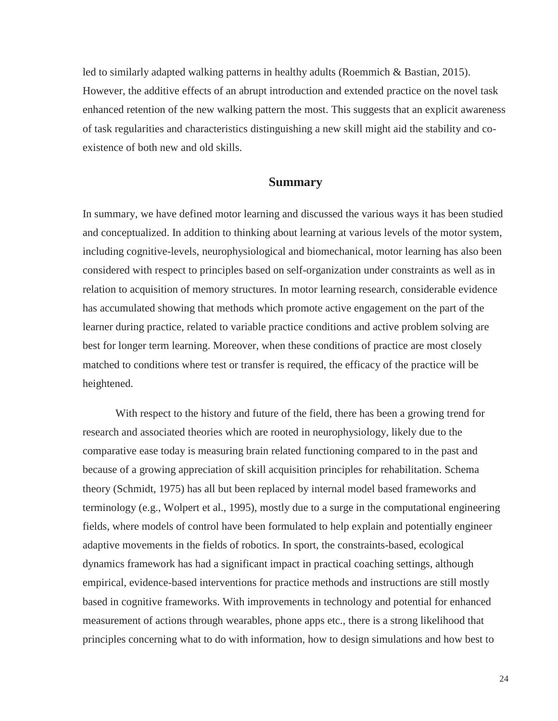led to similarly adapted walking patterns in healthy adults (Roemmich & Bastian, 2015). However, the additive effects of an abrupt introduction and extended practice on the novel task enhanced retention of the new walking pattern the most. This suggests that an explicit awareness of task regularities and characteristics distinguishing a new skill might aid the stability and coexistence of both new and old skills.

### **Summary**

In summary, we have defined motor learning and discussed the various ways it has been studied and conceptualized. In addition to thinking about learning at various levels of the motor system, including cognitive-levels, neurophysiological and biomechanical, motor learning has also been considered with respect to principles based on self-organization under constraints as well as in relation to acquisition of memory structures. In motor learning research, considerable evidence has accumulated showing that methods which promote active engagement on the part of the learner during practice, related to variable practice conditions and active problem solving are best for longer term learning. Moreover, when these conditions of practice are most closely matched to conditions where test or transfer is required, the efficacy of the practice will be heightened.

With respect to the history and future of the field, there has been a growing trend for research and associated theories which are rooted in neurophysiology, likely due to the comparative ease today is measuring brain related functioning compared to in the past and because of a growing appreciation of skill acquisition principles for rehabilitation. Schema theory (Schmidt, 1975) has all but been replaced by internal model based frameworks and terminology (e.g., Wolpert et al., 1995), mostly due to a surge in the computational engineering fields, where models of control have been formulated to help explain and potentially engineer adaptive movements in the fields of robotics. In sport, the constraints-based, ecological dynamics framework has had a significant impact in practical coaching settings, although empirical, evidence-based interventions for practice methods and instructions are still mostly based in cognitive frameworks. With improvements in technology and potential for enhanced measurement of actions through wearables, phone apps etc., there is a strong likelihood that principles concerning what to do with information, how to design simulations and how best to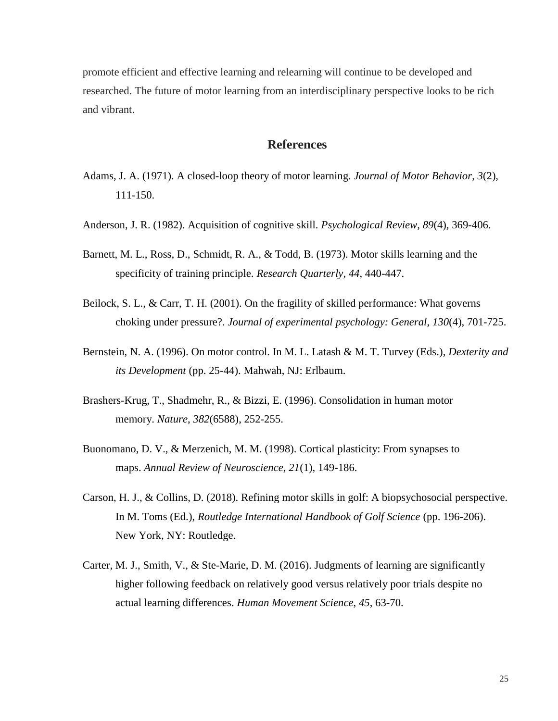promote efficient and effective learning and relearning will continue to be developed and researched. The future of motor learning from an interdisciplinary perspective looks to be rich and vibrant.

## **References**

- Adams, J. A. (1971). A closed-loop theory of motor learning. *Journal of Motor Behavior*, *3*(2), 111-150.
- Anderson, J. R. (1982). Acquisition of cognitive skill. *Psychological Review*, *89*(4), 369-406.
- Barnett, M. L., Ross, D., Schmidt, R. A., & Todd, B. (1973). Motor skills learning and the specificity of training principle. *Research Quarterly, 44*, 440-447.
- Beilock, S. L., & Carr, T. H. (2001). On the fragility of skilled performance: What governs choking under pressure?. *Journal of experimental psychology: General*, *130*(4), 701-725.
- Bernstein, N. A. (1996). On motor control. In M. L. Latash & M. T. Turvey (Eds.), *Dexterity and its Development* (pp. 25-44). Mahwah, NJ: Erlbaum.
- Brashers-Krug, T., Shadmehr, R., & Bizzi, E. (1996). Consolidation in human motor memory. *Nature*, *382*(6588), 252-255.
- Buonomano, D. V., & Merzenich, M. M. (1998). Cortical plasticity: From synapses to maps. *Annual Review of Neuroscience*, *21*(1), 149-186.
- Carson, H. J., & Collins, D. (2018). Refining motor skills in golf: A biopsychosocial perspective. In M. Toms (Ed.), *Routledge International Handbook of Golf Science* (pp. 196-206). New York, NY: Routledge.
- Carter, M. J., Smith, V., & Ste-Marie, D. M. (2016). Judgments of learning are significantly higher following feedback on relatively good versus relatively poor trials despite no actual learning differences. *Human Movement Science*, *45*, 63-70.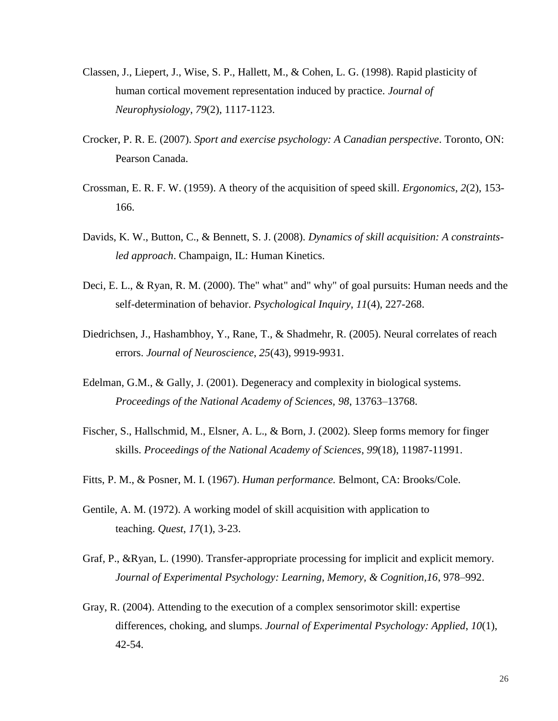- Classen, J., Liepert, J., Wise, S. P., Hallett, M., & Cohen, L. G. (1998). Rapid plasticity of human cortical movement representation induced by practice. *Journal of Neurophysiology*, *79*(2), 1117-1123.
- Crocker, P. R. E. (2007). *Sport and exercise psychology: A Canadian perspective*. Toronto, ON: Pearson Canada.
- Crossman, E. R. F. W. (1959). A theory of the acquisition of speed skill. *Ergonomics*, *2*(2), 153- 166.
- Davids, K. W., Button, C., & Bennett, S. J. (2008). *Dynamics of skill acquisition: A constraintsled approach*. Champaign, IL: Human Kinetics.
- Deci, E. L., & Ryan, R. M. (2000). The" what" and" why" of goal pursuits: Human needs and the self-determination of behavior. *Psychological Inquiry*, *11*(4), 227-268.
- Diedrichsen, J., Hashambhoy, Y., Rane, T., & Shadmehr, R. (2005). Neural correlates of reach errors. *Journal of Neuroscience*, *25*(43), 9919-9931.
- Edelman, G.M., & Gally, J. (2001). Degeneracy and complexity in biological systems. *Proceedings of the National Academy of Sciences, 98*, 13763–13768.
- Fischer, S., Hallschmid, M., Elsner, A. L., & Born, J. (2002). Sleep forms memory for finger skills. *Proceedings of the National Academy of Sciences*, *99*(18), 11987-11991.
- Fitts, P. M., & Posner, M. I. (1967). *Human performance.* Belmont, CA: Brooks/Cole.
- Gentile, A. M. (1972). A working model of skill acquisition with application to teaching. *Quest*, *17*(1), 3-23.
- Graf, P., &Ryan, L. (1990). Transfer-appropriate processing for implicit and explicit memory. *Journal of Experimental Psychology: Learning, Memory, & Cognition,16*, 978–992.
- Gray, R. (2004). Attending to the execution of a complex sensorimotor skill: expertise differences, choking, and slumps. *Journal of Experimental Psychology: Applied*, *10*(1), 42-54.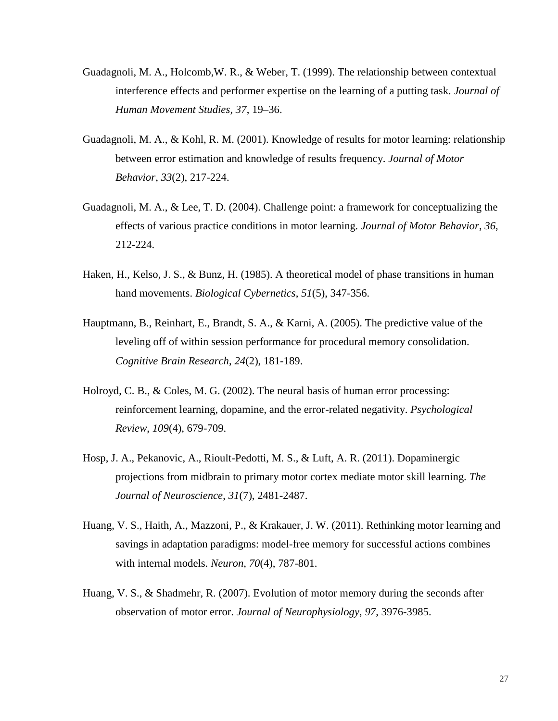- Guadagnoli, M. A., Holcomb,W. R., & Weber, T. (1999). The relationship between contextual interference effects and performer expertise on the learning of a putting task. *Journal of Human Movement Studies, 37*, 19–36.
- Guadagnoli, M. A., & Kohl, R. M. (2001). Knowledge of results for motor learning: relationship between error estimation and knowledge of results frequency. *Journal of Motor Behavior*, *33*(2), 217-224.
- Guadagnoli, M. A., & Lee, T. D. (2004). Challenge point: a framework for conceptualizing the effects of various practice conditions in motor learning. *Journal of Motor Behavior*, *36*, 212-224.
- Haken, H., Kelso, J. S., & Bunz, H. (1985). A theoretical model of phase transitions in human hand movements. *Biological Cybernetics*, *51*(5), 347-356.
- Hauptmann, B., Reinhart, E., Brandt, S. A., & Karni, A. (2005). The predictive value of the leveling off of within session performance for procedural memory consolidation. *Cognitive Brain Research*, *24*(2), 181-189.
- Holroyd, C. B., & Coles, M. G. (2002). The neural basis of human error processing: reinforcement learning, dopamine, and the error-related negativity. *Psychological Review*, *109*(4), 679-709.
- Hosp, J. A., Pekanovic, A., Rioult-Pedotti, M. S., & Luft, A. R. (2011). Dopaminergic projections from midbrain to primary motor cortex mediate motor skill learning. *The Journal of Neuroscience*, *31*(7), 2481-2487.
- Huang, V. S., Haith, A., Mazzoni, P., & Krakauer, J. W. (2011). Rethinking motor learning and savings in adaptation paradigms: model-free memory for successful actions combines with internal models. *Neuron*, *70*(4), 787-801.
- Huang, V. S., & Shadmehr, R. (2007). Evolution of motor memory during the seconds after observation of motor error. *Journal of Neurophysiology*, *97*, 3976-3985.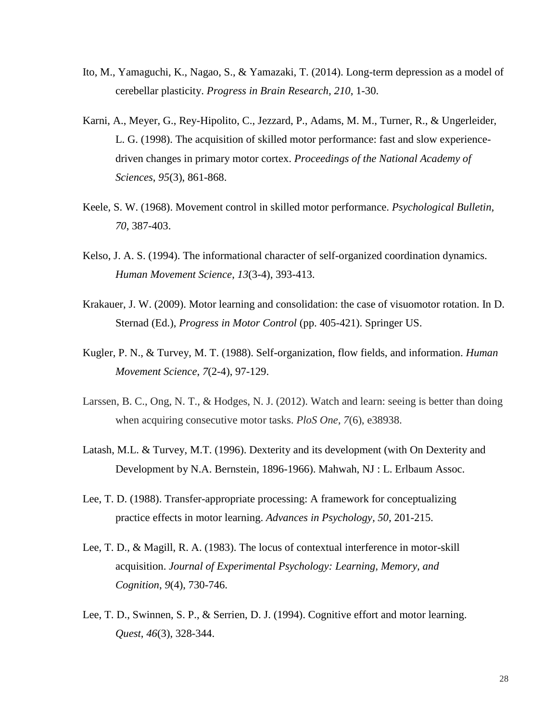- Ito, M., Yamaguchi, K., Nagao, S., & Yamazaki, T. (2014). Long-term depression as a model of cerebellar plasticity. *Progress in Brain Research, 210*, 1-30.
- Karni, A., Meyer, G., Rey-Hipolito, C., Jezzard, P., Adams, M. M., Turner, R., & Ungerleider, L. G. (1998). The acquisition of skilled motor performance: fast and slow experiencedriven changes in primary motor cortex. *Proceedings of the National Academy of Sciences*, *95*(3), 861-868.
- Keele, S. W. (1968). Movement control in skilled motor performance. *Psychological Bulletin, 70*, 387-403.
- Kelso, J. A. S. (1994). The informational character of self-organized coordination dynamics. *Human Movement Science*, *13*(3-4), 393-413.
- Krakauer, J. W. (2009). Motor learning and consolidation: the case of visuomotor rotation. In D. Sternad (Ed.), *Progress in Motor Control* (pp. 405-421). Springer US.
- Kugler, P. N., & Turvey, M. T. (1988). Self-organization, flow fields, and information. *Human Movement Science*, *7*(2-4), 97-129.
- Larssen, B. C., Ong, N. T., & Hodges, N. J. (2012). Watch and learn: seeing is better than doing when acquiring consecutive motor tasks. *PloS One*, *7*(6), e38938.
- Latash, M.L. & Turvey, M.T. (1996). Dexterity and its development (with On Dexterity and Development by N.A. Bernstein, 1896-1966). Mahwah, NJ : L. Erlbaum Assoc.
- Lee, T. D. (1988). Transfer-appropriate processing: A framework for conceptualizing practice effects in motor learning. *Advances in Psychology, 50*, 201-215.
- Lee, T. D., & Magill, R. A. (1983). The locus of contextual interference in motor-skill acquisition. *Journal of Experimental Psychology: Learning, Memory, and Cognition*, *9*(4), 730-746.
- Lee, T. D., Swinnen, S. P., & Serrien, D. J. (1994). Cognitive effort and motor learning. *Quest*, *46*(3), 328-344.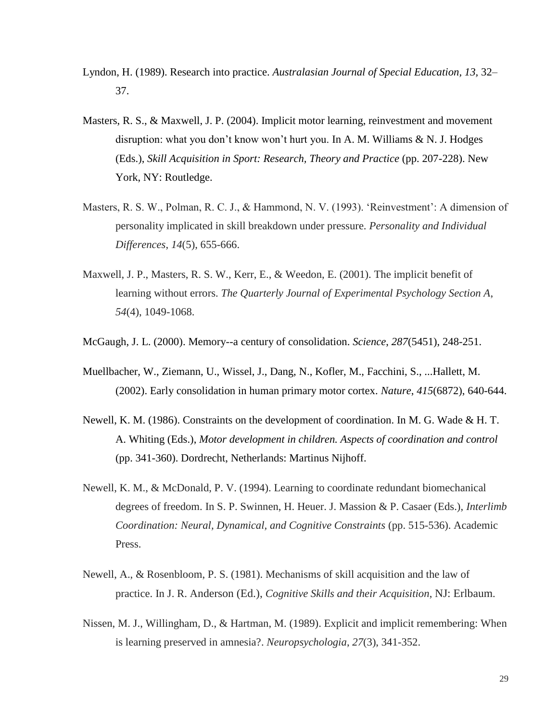- Lyndon, H. (1989). Research into practice. *Australasian Journal of Special Education, 13,* 32– 37.
- Masters, R. S., & Maxwell, J. P. (2004). Implicit motor learning, reinvestment and movement disruption: what you don't know won't hurt you. In A. M. Williams & N. J. Hodges (Eds.), *Skill Acquisition in Sport: Research, Theory and Practice* (pp. 207-228). New York, NY: Routledge.
- Masters, R. S. W., Polman, R. C. J., & Hammond, N. V. (1993). 'Reinvestment': A dimension of personality implicated in skill breakdown under pressure. *Personality and Individual Differences*, *14*(5), 655-666.
- Maxwell, J. P., Masters, R. S. W., Kerr, E., & Weedon, E. (2001). The implicit benefit of learning without errors. *The Quarterly Journal of Experimental Psychology Section A*, *54*(4), 1049-1068.

McGaugh, J. L. (2000). Memory--a century of consolidation. *Science*, *287*(5451), 248-251.

- Muellbacher, W., Ziemann, U., Wissel, J., Dang, N., Kofler, M., Facchini, S., ...Hallett, M. (2002). Early consolidation in human primary motor cortex. *Nature*, *415*(6872), 640-644.
- Newell, K. M. (1986). Constraints on the development of coordination. In M. G. Wade & H. T. A. Whiting (Eds.), *Motor development in children. Aspects of coordination and control*  (pp. 341-360). Dordrecht, Netherlands: Martinus Nijhoff.
- Newell, K. M., & McDonald, P. V. (1994). Learning to coordinate redundant biomechanical degrees of freedom. In S. P. Swinnen, H. Heuer. J. Massion & P. Casaer (Eds.), *Interlimb Coordination: Neural, Dynamical, and Cognitive Constraints* (pp. 515-536). Academic Press.
- Newell, A., & Rosenbloom, P. S. (1981). Mechanisms of skill acquisition and the law of practice. In J. R. Anderson (Ed.), *Cognitive Skills and their Acquisition*, NJ: Erlbaum.
- Nissen, M. J., Willingham, D., & Hartman, M. (1989). Explicit and implicit remembering: When is learning preserved in amnesia?. *Neuropsychologia*, *27*(3), 341-352.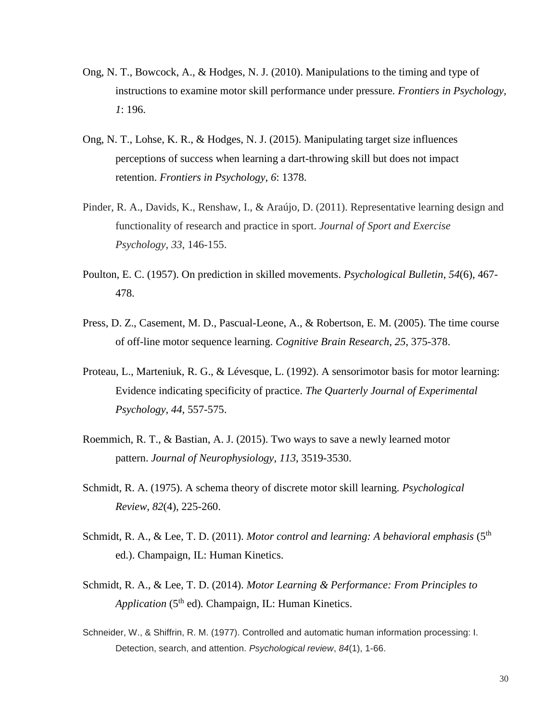- Ong, N. T., Bowcock, A., & Hodges, N. J. (2010). Manipulations to the timing and type of instructions to examine motor skill performance under pressure. *Frontiers in Psychology, 1*: 196.
- Ong, N. T., Lohse, K. R., & Hodges, N. J. (2015). Manipulating target size influences perceptions of success when learning a dart-throwing skill but does not impact retention. *Frontiers in Psychology*, *6*: 1378.
- Pinder, R. A., Davids, K., Renshaw, I., & Araújo, D. (2011). Representative learning design and functionality of research and practice in sport. *Journal of Sport and Exercise Psychology*, *33*, 146-155.
- Poulton, E. C. (1957). On prediction in skilled movements. *Psychological Bulletin*, *54*(6), 467- 478.
- Press, D. Z., Casement, M. D., Pascual-Leone, A., & Robertson, E. M. (2005). The time course of off-line motor sequence learning. *Cognitive Brain Research*, *25*, 375-378.
- Proteau, L., Marteniuk, R. G., & Lévesque, L. (1992). A sensorimotor basis for motor learning: Evidence indicating specificity of practice. *The Quarterly Journal of Experimental Psychology, 44*, 557-575.
- Roemmich, R. T., & Bastian, A. J. (2015). Two ways to save a newly learned motor pattern. *Journal of Neurophysiology*, *113*, 3519-3530.
- Schmidt, R. A. (1975). A schema theory of discrete motor skill learning. *Psychological Review*, *82*(4), 225-260.
- Schmidt, R. A., & Lee, T. D. (2011). *Motor control and learning: A behavioral emphasis* (5<sup>th</sup> ed.). Champaign, IL: Human Kinetics.
- Schmidt, R. A., & Lee, T. D. (2014). *Motor Learning & Performance: From Principles to Application* (5<sup>th</sup> ed). Champaign, IL: Human Kinetics.
- Schneider, W., & Shiffrin, R. M. (1977). Controlled and automatic human information processing: I. Detection, search, and attention. *Psychological review*, *84*(1), 1-66.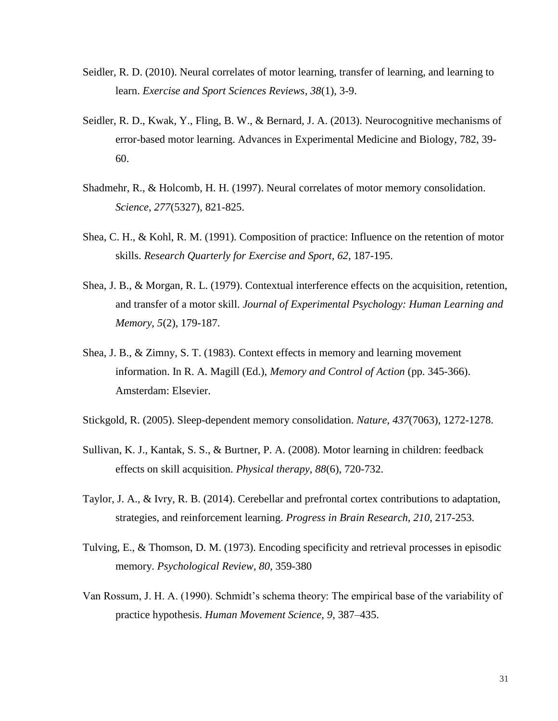- Seidler, R. D. (2010). Neural correlates of motor learning, transfer of learning, and learning to learn. *Exercise and Sport Sciences Reviews*, *38*(1), 3-9.
- Seidler, R. D., Kwak, Y., Fling, B. W., & Bernard, J. A. (2013). Neurocognitive mechanisms of error-based motor learning. Advances in Experimental Medicine and Biology, 782, 39- 60.
- Shadmehr, R., & Holcomb, H. H. (1997). Neural correlates of motor memory consolidation. *Science*, *277*(5327), 821-825.
- Shea, C. H., & Kohl, R. M. (1991). Composition of practice: Influence on the retention of motor skills. *Research Quarterly for Exercise and Sport, 62*, 187-195.
- Shea, J. B., & Morgan, R. L. (1979). Contextual interference effects on the acquisition, retention, and transfer of a motor skill. *Journal of Experimental Psychology: Human Learning and Memory*, *5*(2), 179-187.
- Shea, J. B., & Zimny, S. T. (1983). Context effects in memory and learning movement information. In R. A. Magill (Ed.), *Memory and Control of Action* (pp. 345-366). Amsterdam: Elsevier.
- Stickgold, R. (2005). Sleep-dependent memory consolidation. *Nature*, *437*(7063), 1272-1278.
- Sullivan, K. J., Kantak, S. S., & Burtner, P. A. (2008). Motor learning in children: feedback effects on skill acquisition. *Physical therapy*, *88*(6), 720-732.
- Taylor, J. A., & Ivry, R. B. (2014). Cerebellar and prefrontal cortex contributions to adaptation, strategies, and reinforcement learning. *Progress in Brain Research*, *210*, 217-253.
- Tulving, E., & Thomson, D. M. (1973). Encoding specificity and retrieval processes in episodic memory. *Psychological Review, 80*, 359-380
- Van Rossum, J. H. A. (1990). Schmidt's schema theory: The empirical base of the variability of practice hypothesis. *Human Movement Science, 9*, 387–435.